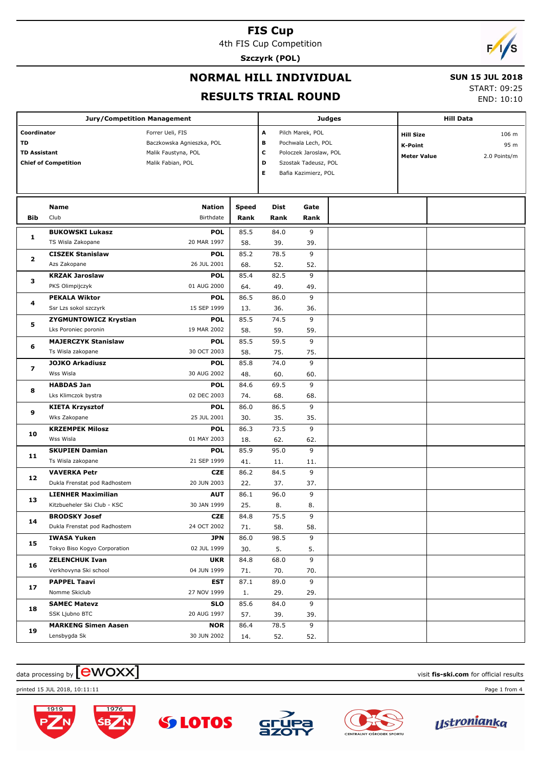4th FIS Cup Competition

**Szczyrk (POL)**

# $\sqrt{2}$

### **NORMAL HILL INDIVIDUAL**

#### **SUN 15 JUL 2018**

#### **RESULTS TRIAL ROUND**

START: 09:25

END: 10:10

|                                                                         | <b>Jury/Competition Management</b> |                                                                                           |                      |                        |                                                                                                                  | <b>Judges</b> | <b>Hill Data</b>                                         |                               |  |
|-------------------------------------------------------------------------|------------------------------------|-------------------------------------------------------------------------------------------|----------------------|------------------------|------------------------------------------------------------------------------------------------------------------|---------------|----------------------------------------------------------|-------------------------------|--|
| Coordinator<br>TD<br><b>TD Assistant</b><br><b>Chief of Competition</b> |                                    | Forrer Ueli, FIS<br>Baczkowska Agnieszka, POL<br>Malik Faustyna, POL<br>Malik Fabian, POL |                      | A<br>в<br>с<br>D<br>E. | Pilch Marek, POL<br>Pochwala Lech, POL<br>Poloczek Jaroslaw, POL<br>Szostak Tadeusz, POL<br>Bafia Kazimierz, POL |               | <b>Hill Size</b><br><b>K-Point</b><br><b>Meter Value</b> | 106 m<br>95 m<br>2.0 Points/m |  |
| <b>Bib</b>                                                              | <b>Name</b><br>Club                | <b>Nation</b><br>Birthdate                                                                | <b>Speed</b><br>Rank | <b>Dist</b><br>Rank    | Gate<br>Rank                                                                                                     |               |                                                          |                               |  |
|                                                                         | <b>BUKOWSKI Lukasz</b>             | <b>POL</b>                                                                                | 85.5                 | 84.0                   | 9                                                                                                                |               |                                                          |                               |  |
| 1                                                                       | TS Wisla Zakopane                  | 20 MAR 1997                                                                               | 58.                  | 39.                    | 39.                                                                                                              |               |                                                          |                               |  |
| 2                                                                       | <b>CISZEK Stanislaw</b>            | <b>POL</b>                                                                                | 85.2                 | 78.5                   | 9                                                                                                                |               |                                                          |                               |  |
|                                                                         | Azs Zakopane                       | 26 JUL 2001                                                                               | 68.                  | 52.                    | 52.                                                                                                              |               |                                                          |                               |  |
| з                                                                       | <b>KRZAK Jaroslaw</b>              | <b>POL</b>                                                                                | 85.4                 | 82.5                   | 9                                                                                                                |               |                                                          |                               |  |
|                                                                         | PKS Olimpijczyk                    | 01 AUG 2000                                                                               | 64.                  | 49.                    | 49.                                                                                                              |               |                                                          |                               |  |
|                                                                         | <b>PEKALA Wiktor</b>               | <b>POL</b>                                                                                | 86.5                 | 86.0                   | 9                                                                                                                |               |                                                          |                               |  |
| 4                                                                       | Ssr Lzs sokol szczyrk              | 15 SEP 1999                                                                               | 13.                  | 36.                    | 36.                                                                                                              |               |                                                          |                               |  |
| 5                                                                       | <b>ZYGMUNTOWICZ Krystian</b>       | <b>POL</b>                                                                                | 85.5                 | 74.5                   | 9                                                                                                                |               |                                                          |                               |  |
|                                                                         | Lks Poroniec poronin               | 19 MAR 2002                                                                               | 58.                  | 59.                    | 59.                                                                                                              |               |                                                          |                               |  |
| 6                                                                       | <b>MAJERCZYK Stanislaw</b>         | <b>POL</b>                                                                                | 85.5                 | 59.5                   | 9                                                                                                                |               |                                                          |                               |  |
|                                                                         | Ts Wisla zakopane                  | 30 OCT 2003                                                                               | 58.                  | 75.                    | 75.                                                                                                              |               |                                                          |                               |  |
| $\overline{\mathbf{z}}$                                                 | <b>JOJKO Arkadiusz</b>             | <b>POL</b>                                                                                | 85.8                 | 74.0                   | 9                                                                                                                |               |                                                          |                               |  |
|                                                                         | Wss Wisla                          | 30 AUG 2002                                                                               | 48.                  | 60.                    | 60.                                                                                                              |               |                                                          |                               |  |
| 8                                                                       | <b>HABDAS Jan</b>                  | <b>POL</b>                                                                                | 84.6                 | 69.5                   | 9                                                                                                                |               |                                                          |                               |  |
|                                                                         | Lks Klimczok bystra                | 02 DEC 2003                                                                               | 74.                  | 68.                    | 68.                                                                                                              |               |                                                          |                               |  |
| 9                                                                       | <b>KIETA Krzysztof</b>             | <b>POL</b>                                                                                | 86.0                 | 86.5                   | 9                                                                                                                |               |                                                          |                               |  |
|                                                                         | Wks Zakopane                       | 25 JUL 2001                                                                               | 30.                  | 35.                    | 35.                                                                                                              |               |                                                          |                               |  |
| 10                                                                      | <b>KRZEMPEK Milosz</b>             | <b>POL</b>                                                                                | 86.3                 | 73.5                   | 9                                                                                                                |               |                                                          |                               |  |
|                                                                         | Wss Wisla                          | 01 MAY 2003                                                                               | 18.                  | 62.                    | 62.                                                                                                              |               |                                                          |                               |  |
| 11                                                                      | <b>SKUPIEN Damian</b>              | <b>POL</b>                                                                                | 85.9                 | 95.0                   | 9                                                                                                                |               |                                                          |                               |  |
|                                                                         | Ts Wisla zakopane                  | 21 SEP 1999                                                                               | 41.                  | 11.                    | 11.                                                                                                              |               |                                                          |                               |  |
| 12                                                                      | <b>VAVERKA Petr</b>                | <b>CZE</b>                                                                                | 86.2                 | 84.5                   | 9                                                                                                                |               |                                                          |                               |  |
|                                                                         | Dukla Frenstat pod Radhostem       | 20 JUN 2003                                                                               | 22.                  | 37.                    | 37.                                                                                                              |               |                                                          |                               |  |
| 13                                                                      | <b>LIENHER Maximilian</b>          | <b>AUT</b>                                                                                | 86.1                 | 96.0                   | 9                                                                                                                |               |                                                          |                               |  |
|                                                                         | Kitzbueheler Ski Club - KSC        | 30 JAN 1999                                                                               | 25.                  | 8.                     | 8.                                                                                                               |               |                                                          |                               |  |
| 14                                                                      | <b>BRODSKY Josef</b>               | <b>CZE</b>                                                                                | 84.8                 | 75.5                   | $\mathsf{Q}$                                                                                                     |               |                                                          |                               |  |
|                                                                         | Dukla Frenstat pod Radhostem       | 24 OCT 2002                                                                               | 71.                  | 58.                    | 58.                                                                                                              |               |                                                          |                               |  |
| 15                                                                      | <b>IWASA Yuken</b>                 | <b>JPN</b>                                                                                | 86.0                 | 98.5                   | 9                                                                                                                |               |                                                          |                               |  |
|                                                                         | Tokyo Biso Kogyo Corporation       | 02 JUL 1999                                                                               | 30.                  | 5.                     | 5.                                                                                                               |               |                                                          |                               |  |
| 16                                                                      | <b>ZELENCHUK Ivan</b>              | <b>UKR</b>                                                                                | 84.8                 | 68.0                   | 9                                                                                                                |               |                                                          |                               |  |
|                                                                         | Verkhovyna Ski school              | 04 JUN 1999                                                                               | 71.                  | 70.                    | 70.                                                                                                              |               |                                                          |                               |  |
| 17                                                                      | <b>PAPPEL Taavi</b>                | EST                                                                                       | 87.1                 | 89.0                   | 9                                                                                                                |               |                                                          |                               |  |
|                                                                         | Nomme Skiclub                      | 27 NOV 1999                                                                               | 1.                   | 29.                    | 29.                                                                                                              |               |                                                          |                               |  |
| 18                                                                      | <b>SAMEC Matevz</b>                | <b>SLO</b>                                                                                | 85.6                 | 84.0                   | 9                                                                                                                |               |                                                          |                               |  |
|                                                                         | SSK Ljubno BTC                     | 20 AUG 1997                                                                               | 57.                  | 39.                    | 39.                                                                                                              |               |                                                          |                               |  |
| 19                                                                      | <b>MARKENG Simen Aasen</b>         | <b>NOR</b>                                                                                | 86.4                 | 78.5                   | 9                                                                                                                |               |                                                          |                               |  |
|                                                                         | Lensbygda Sk                       | 30 JUN 2002                                                                               | 14.                  | 52.                    | 52.                                                                                                              |               |                                                          |                               |  |

### $\frac{1}{2}$  data processing by  $\boxed{\text{ewOX}}$

printed 15 JUL 2018, 10:11:11 Page 1 from 4





**SS LOTOS** 





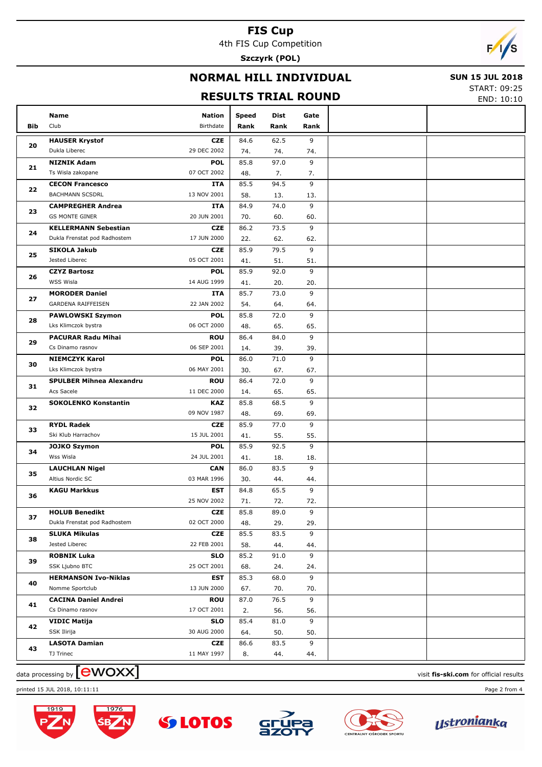4th FIS Cup Competition

**Szczyrk (POL)**

# F

## **NORMAL HILL INDIVIDUAL**

#### **SUN 15 JUL 2018**

## **RESULTS TRIAL ROUND**

START: 09:25 END: 10:10

|          |                                                       |                           |       |      |          | LIVD. 10.16 |
|----------|-------------------------------------------------------|---------------------------|-------|------|----------|-------------|
|          | Name                                                  | <b>Nation</b>             | Speed | Dist | Gate     |             |
| Bib      | Club                                                  | Birthdate                 | Rank  | Rank | Rank     |             |
|          | <b>HAUSER Krystof</b>                                 | <b>CZE</b>                | 84.6  | 62.5 | 9        |             |
| 20       | Dukla Liberec                                         | 29 DEC 2002               | 74.   | 74.  | 74.      |             |
|          | <b>NIZNIK Adam</b>                                    | <b>POL</b>                | 85.8  | 97.0 | 9        |             |
| 21       | Ts Wisla zakopane                                     | 07 OCT 2002               | 48.   | 7.   | 7.       |             |
|          | <b>CECON Francesco</b>                                | <b>ITA</b>                | 85.5  | 94.5 | 9        |             |
| 22       | <b>BACHMANN SCSDRL</b>                                | 13 NOV 2001               | 58.   | 13.  | 13.      |             |
|          | <b>CAMPREGHER Andrea</b>                              | <b>ITA</b>                | 84.9  | 74.0 | 9        |             |
| 23       | <b>GS MONTE GINER</b>                                 | 20 JUN 2001               | 70.   | 60.  | 60.      |             |
|          | <b>KELLERMANN Sebestian</b>                           | <b>CZE</b>                | 86.2  | 73.5 | 9        |             |
| 24       | Dukla Frenstat pod Radhostem                          | 17 JUN 2000               | 22.   | 62.  | 62.      |             |
|          | <b>SIKOLA Jakub</b>                                   | <b>CZE</b>                | 85.9  | 79.5 | 9        |             |
| 25       | Jested Liberec                                        | 05 OCT 2001               | 41.   | 51.  | 51.      |             |
|          | <b>CZYZ Bartosz</b>                                   | <b>POL</b>                | 85.9  | 92.0 | 9        |             |
| 26       | WSS Wisla                                             | 14 AUG 1999               | 41.   | 20.  | 20.      |             |
|          | <b>MORODER Daniel</b>                                 | <b>ITA</b>                | 85.7  | 73.0 | 9        |             |
| 27       | GARDENA RAIFFEISEN                                    | 22 JAN 2002               | 54.   | 64.  | 64.      |             |
|          |                                                       | <b>POL</b>                | 85.8  | 72.0 | 9        |             |
| 28       | <b>PAWLOWSKI Szymon</b><br>Lks Klimczok bystra        | 06 OCT 2000               | 48.   | 65.  | 65.      |             |
| 29       | <b>PACURAR Radu Mihai</b>                             | <b>ROU</b>                | 86.4  | 84.0 | 9        |             |
|          | Cs Dinamo rasnov                                      | 06 SEP 2001               |       | 39.  | 39.      |             |
| 30<br>31 |                                                       | <b>POL</b>                | 14.   |      | 9        |             |
|          | <b>NIEMCZYK Karol</b>                                 | 06 MAY 2001               | 86.0  | 71.0 |          |             |
|          | Lks Klimczok bystra                                   |                           | 30.   | 67.  | 67.<br>9 |             |
|          | <b>SPULBER Mihnea Alexandru</b>                       | <b>ROU</b>                | 86.4  | 72.0 |          |             |
|          | Acs Sacele                                            | 11 DEC 2000               | 14.   | 65.  | 65.      |             |
| 32       | <b>SOKOLENKO Konstantin</b>                           | <b>KAZ</b>                | 85.8  | 68.5 | 9        |             |
|          |                                                       | 09 NOV 1987               | 48.   | 69.  | 69.      |             |
| 33       | <b>RYDL Radek</b>                                     | <b>CZE</b>                | 85.9  | 77.0 | 9        |             |
|          | Ski Klub Harrachov                                    | 15 JUL 2001               | 41.   | 55.  | 55.      |             |
| 34       | <b>JOJKO Szymon</b>                                   | <b>POL</b>                | 85.9  | 92.5 | 9        |             |
|          | Wss Wisla                                             | 24 JUL 2001               | 41.   | 18.  | 18.      |             |
| 35       | <b>LAUCHLAN Nigel</b>                                 | <b>CAN</b>                | 86.0  | 83.5 | 9        |             |
|          | Altius Nordic SC                                      | 03 MAR 1996               | 30.   | 44.  | 44.      |             |
| 36       | <b>KAGU Markkus</b>                                   | <b>EST</b><br>25 NOV 2002 | 84.8  | 65.5 | 9        |             |
|          |                                                       |                           | 71.   | 72.  | 72.      |             |
| 37       | <b>HOLUB Benedikt</b><br>Dukla Frenstat pod Radhostem | <b>CZE</b><br>02 OCT 2000 | 85.8  | 89.0 | 9        |             |
|          |                                                       |                           | 48.   | 29.  | 29.<br>9 |             |
| 38       | <b>SLUKA Mikulas</b><br>Jested Liberec                | <b>CZE</b><br>22 FEB 2001 | 85.5  | 83.5 |          |             |
|          |                                                       |                           | 58.   | 44.  | 44.<br>9 |             |
| 39       | <b>ROBNIK Luka</b><br>SSK Ljubno BTC                  | <b>SLO</b><br>25 OCT 2001 | 85.2  | 91.0 |          |             |
|          |                                                       |                           | 68.   | 24.  | 24.      |             |
| 40       | <b>HERMANSON Ivo-Niklas</b><br>Nomme Sportclub        | <b>EST</b><br>13 JUN 2000 | 85.3  | 68.0 | 9        |             |
|          |                                                       |                           | 67.   | 70.  | 70.      |             |
| 41       | <b>CACINA Daniel Andrei</b>                           | <b>ROU</b>                | 87.0  | 76.5 | 9        |             |
|          | Cs Dinamo rasnov                                      | 17 OCT 2001               | 2.    | 56.  | 56.      |             |
| 42       | <b>VIDIC Matija</b>                                   | <b>SLO</b>                | 85.4  | 81.0 | 9        |             |
|          | SSK Ilirija                                           | 30 AUG 2000               | 64.   | 50.  | 50.      |             |
| 43       | <b>LASOTA Damian</b>                                  | CZE                       | 86.6  | 83.5 | 9        |             |
|          | TJ Trinec                                             | 11 MAY 1997               | 8.    | 44.  | 44.      |             |

data processing by **CWOXX** and  $\overline{A}$  and  $\overline{B}$  wisit **fis-ski.com** for official results







**SS LOTOS** 







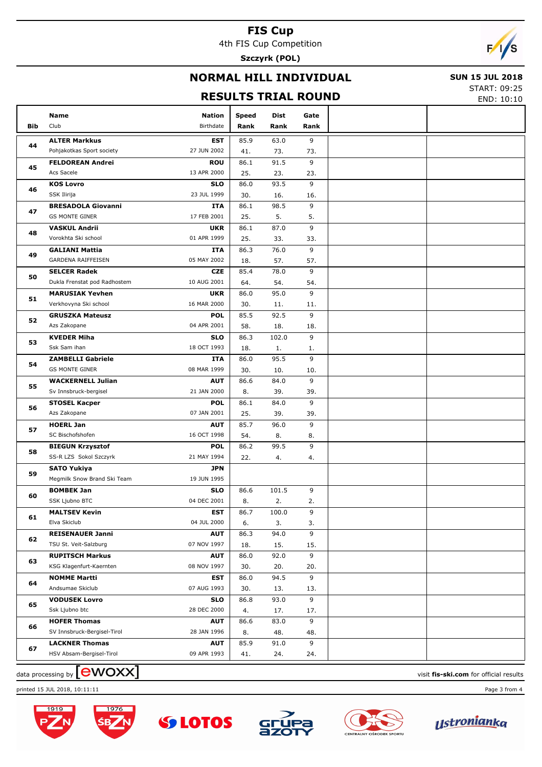4th FIS Cup Competition

**Szczyrk (POL)**

# F

## **NORMAL HILL INDIVIDUAL**

#### **SUN 15 JUL 2018**

## **RESULTS TRIAL ROUND**

START: 09:25 END: 10:10

|                |                                             |               |              |       |          | END. 10.10 |
|----------------|---------------------------------------------|---------------|--------------|-------|----------|------------|
|                | Name                                        | <b>Nation</b> | <b>Speed</b> | Dist  | Gate     |            |
| Bib            | Club                                        | Birthdate     | Rank         | Rank  | Rank     |            |
|                | <b>ALTER Markkus</b>                        | <b>EST</b>    | 85.9         | 63.0  | 9        |            |
| 44             | Pohjakotkas Sport society                   | 27 JUN 2002   | 41.          | 73.   | 73.      |            |
|                | <b>FELDOREAN Andrei</b>                     | <b>ROU</b>    | 86.1         | 91.5  | 9        |            |
| 45             | Acs Sacele                                  | 13 APR 2000   | 25.          | 23.   | 23.      |            |
|                | <b>KOS Lovro</b>                            | <b>SLO</b>    | 86.0         | 93.5  | 9        |            |
| 46             | SSK Ilirija                                 | 23 JUL 1999   | 30.          | 16.   | 16.      |            |
|                | <b>BRESADOLA Giovanni</b>                   | ITA           | 86.1         | 98.5  | 9        |            |
| 47             | <b>GS MONTE GINER</b>                       | 17 FEB 2001   | 25.          | 5.    | 5.       |            |
|                | <b>VASKUL Andrii</b>                        | <b>UKR</b>    | 86.1         | 87.0  | 9        |            |
| 48             | Vorokhta Ski school                         | 01 APR 1999   | 25.          | 33.   | 33.      |            |
|                |                                             | ITA           | 86.3         | 76.0  | 9        |            |
| 49             | <b>GALIANI Mattia</b><br>GARDENA RAIFFEISEN | 05 MAY 2002   |              |       |          |            |
|                |                                             |               | 18.          | 57.   | 57.<br>9 |            |
| 50             | <b>SELCER Radek</b>                         | <b>CZE</b>    | 85.4         | 78.0  |          |            |
|                | Dukla Frenstat pod Radhostem                | 10 AUG 2001   | 64.          | 54.   | 54.      |            |
| 51             | <b>MARUSIAK Yevhen</b>                      | <b>UKR</b>    | 86.0         | 95.0  | 9        |            |
|                | Verkhovyna Ski school                       | 16 MAR 2000   | 30.          | 11.   | 11.      |            |
| 52             | <b>GRUSZKA Mateusz</b>                      | <b>POL</b>    | 85.5         | 92.5  | 9        |            |
|                | Azs Zakopane                                | 04 APR 2001   | 58.          | 18.   | 18.      |            |
| 53             | <b>KVEDER Miha</b>                          | <b>SLO</b>    | 86.3         | 102.0 | 9        |            |
| 54<br>55<br>56 | Ssk Sam ihan                                | 18 OCT 1993   | 18.          | 1.    | 1.       |            |
|                | <b>ZAMBELLI Gabriele</b>                    | ITA           | 86.0         | 95.5  | 9        |            |
|                | <b>GS MONTE GINER</b>                       | 08 MAR 1999   | 30.          | 10.   | 10.      |            |
|                | <b>WACKERNELL Julian</b>                    | <b>AUT</b>    | 86.6         | 84.0  | 9        |            |
|                | Sv Innsbruck-bergisel                       | 21 JAN 2000   | 8.           | 39.   | 39.      |            |
|                | <b>STOSEL Kacper</b>                        | POL           | 86.1         | 84.0  | 9        |            |
|                | Azs Zakopane                                | 07 JAN 2001   | 25.          | 39.   | 39.      |            |
| 57             | <b>HOERL Jan</b>                            | <b>AUT</b>    | 85.7         | 96.0  | 9        |            |
|                | SC Bischofshofen                            | 16 OCT 1998   | 54.          | 8.    | 8.       |            |
| 58             | <b>BIEGUN Krzysztof</b>                     | POL           | 86.2         | 99.5  | 9        |            |
|                | SS-R LZS Sokol Szczyrk                      | 21 MAY 1994   | 22.          | 4.    | 4.       |            |
| 59             | <b>SATO Yukiya</b>                          | JPN           |              |       |          |            |
|                | Megmilk Snow Brand Ski Team                 | 19 JUN 1995   |              |       |          |            |
| 60             | <b>BOMBEK Jan</b>                           | <b>SLO</b>    | 86.6         | 101.5 | 9        |            |
|                | SSK Ljubno BTC                              | 04 DEC 2001   | 8.           | 2.    | 2.       |            |
| 61             | <b>MALTSEV Kevin</b>                        | EST           | 86.7         | 100.0 | 9        |            |
|                | Elva Skiclub                                | 04 JUL 2000   | 6.           | 3.    | 3.       |            |
| 62             | <b>REISENAUER Janni</b>                     | <b>AUT</b>    | 86.3         | 94.0  | 9        |            |
|                | TSU St. Veit-Salzburg                       | 07 NOV 1997   | 18.          | 15.   | 15.      |            |
| 63             | <b>RUPITSCH Markus</b>                      | <b>AUT</b>    | 86.0         | 92.0  | 9        |            |
|                | KSG Klagenfurt-Kaernten                     | 08 NOV 1997   | 30.          | 20.   | 20.      |            |
| 64             | <b>NOMME Martti</b>                         | EST           | 86.0         | 94.5  | 9        |            |
|                | Andsumae Skiclub                            | 07 AUG 1993   | 30.          | 13.   | 13.      |            |
| 65             | <b>VODUSEK Lovro</b>                        | <b>SLO</b>    | 86.8         | 93.0  | 9        |            |
|                | Ssk Ljubno btc                              | 28 DEC 2000   | 4.           | 17.   | 17.      |            |
| 66             | <b>HOFER Thomas</b>                         | <b>AUT</b>    | 86.6         | 83.0  | 9        |            |
|                | SV Innsbruck-Bergisel-Tirol                 | 28 JAN 1996   | 8.           | 48.   | 48.      |            |
| 67             | <b>LACKNER Thomas</b>                       | <b>AUT</b>    | 85.9         | 91.0  | 9        |            |
|                | HSV Absam-Bergisel-Tirol                    | 09 APR 1993   | 41.          | 24.   | 24.      |            |
|                |                                             |               |              |       |          |            |

 $\alpha$  data processing by  $\boxed{\text{ewOX}}$ 

printed 15 JUL 2018, 10:11:11 Page 3 from 4





**SS LOTOS**